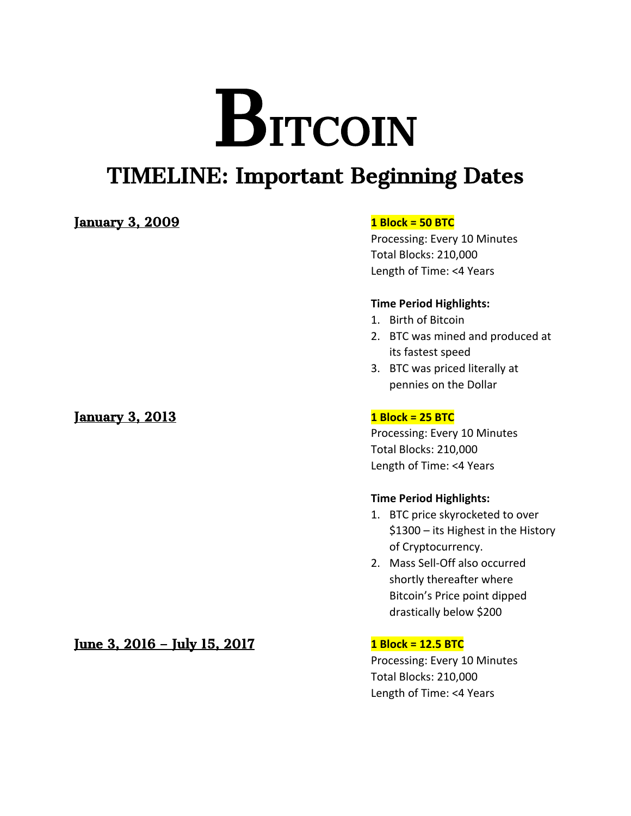# BITCOIN

# TIMELINE: Important Beginning Dates

# January 3, 2009 **1 Block = 50 BTC**

January 3, 2013 **1 Block = 25 BTC**

# June 3, 2016 – July 15, 2017 **1 Block = 12.5 BTC**

Processing: Every 10 Minutes Total Blocks: 210,000 Length of Time: <4 Years

# **Time Period Highlights:**

- 1. Birth of Bitcoin
- 2. BTC was mined and produced at its fastest speed
- 3. BTC was priced literally at pennies on the Dollar

Processing: Every 10 Minutes Total Blocks: 210,000 Length of Time: <4 Years

## **Time Period Highlights:**

- 1. BTC price skyrocketed to over \$1300 – its Highest in the History of Cryptocurrency.
- 2. Mass Sell-Off also occurred shortly thereafter where Bitcoin's Price point dipped drastically below \$200

Processing: Every 10 Minutes Total Blocks: 210,000 Length of Time: <4 Years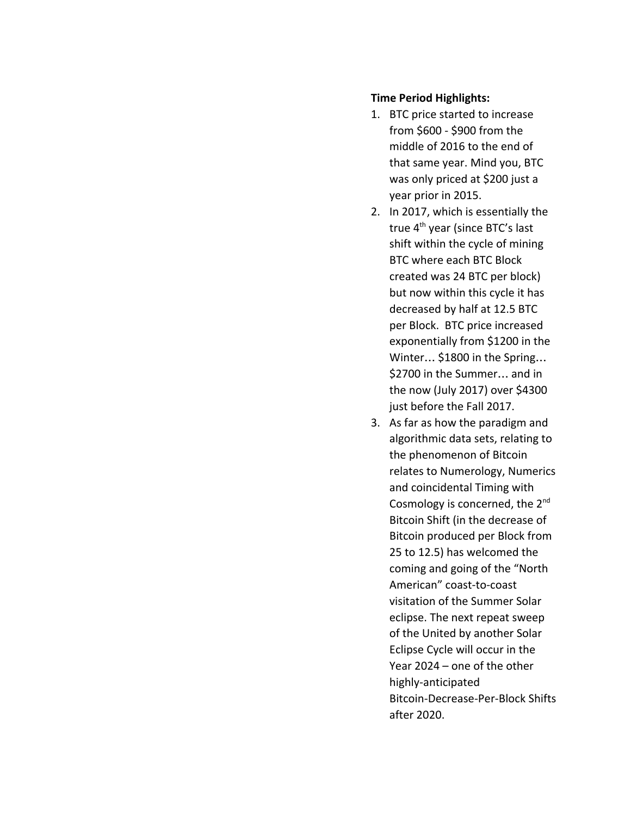# **Time Period Highlights:**

- 1. BTC price started to increase from \$600 - \$900 from the middle of 2016 to the end of that same year. Mind you, BTC was only priced at \$200 just a year prior in 2015.
- 2. In 2017, which is essentially the true 4<sup>th</sup> year (since BTC's last shift within the cycle of mining BTC where each BTC Block created was 24 BTC per block) but now within this cycle it has decreased by half at 12.5 BTC per Block. BTC price increased exponentially from \$1200 in the Winter… \$1800 in the Spring… \$2700 in the Summer… and in the now (July 2017) over \$4300 just before the Fall 2017.
- 3. As far as how the paradigm and algorithmic data sets, relating to the phenomenon of Bitcoin relates to Numerology, Numerics and coincidental Timing with Cosmology is concerned, the 2<sup>nd</sup> Bitcoin Shift (in the decrease of Bitcoin produced per Block from 25 to 12.5) has welcomed the coming and going of the "North American" coast-to-coast visitation of the Summer Solar eclipse. The next repeat sweep of the United by another Solar Eclipse Cycle will occur in the Year 2024 – one of the other highly-anticipated Bitcoin-Decrease-Per-Block Shifts after 2020.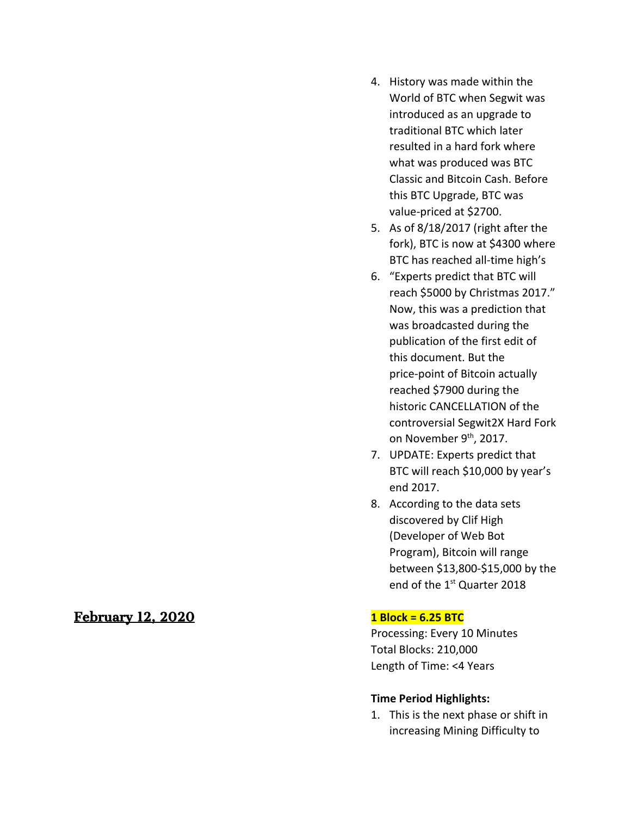# February 12, 2020

- 4. History was made within the World of BTC when Segwit was introduced as an upgrade to traditional BTC which later resulted in a hard fork where what was produced was BTC Classic and Bitcoin Cash. Before this BTC Upgrade, BTC was value-priced at \$2700.
- 5. As of 8/18/2017 (right after the fork), BTC is now at \$4300 where BTC has reached all-time high's
- 6. "Experts predict that BTC will reach \$5000 by Christmas 2017." Now, this was a prediction that was broadcasted during the publication of the first edit of this document. But the price-point of Bitcoin actually reached \$7900 during the historic CANCELLATION of the controversial Segwit2X Hard Fork on November 9<sup>th</sup>, 2017.
- 7. UPDATE: Experts predict that BTC will reach \$10,000 by year's end 2017.
- 8. According to the data sets discovered by Clif High (Developer of Web Bot Program), Bitcoin will range between \$13,800-\$15,000 by the end of the 1<sup>st</sup> Quarter 2018

# **1 Block = 6.25 BTC**

Processing: Every 10 Minutes Total Blocks: 210,000 Length of Time: <4 Years

# **Time Period Highlights:**

1. This is the next phase or shift in increasing Mining Difficulty to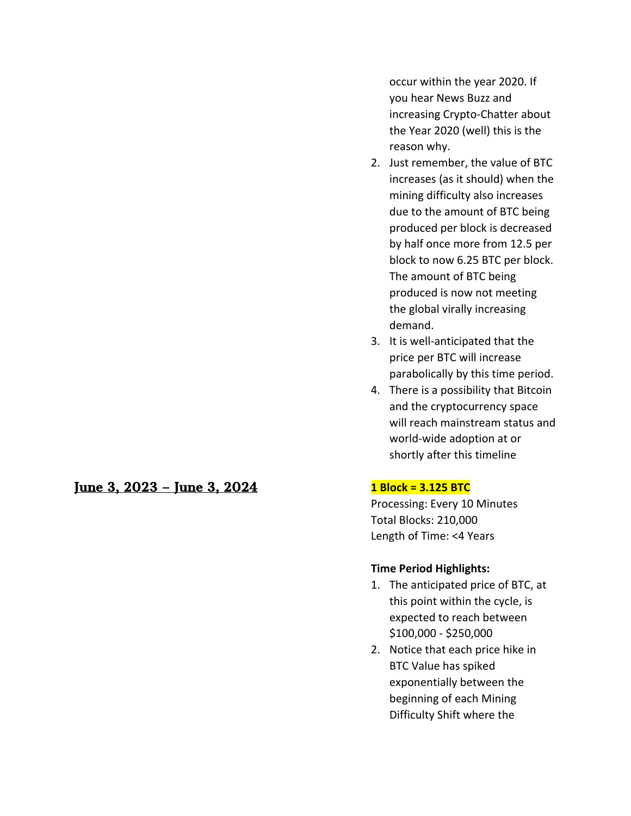June 3, 2023 – June 3, 2024 **1 Block = 3.125 BTC**

occur within the year 2020. If you hear News Buzz and increasing Crypto-Chatter about the Year 2020 (well) this is the reason why.

- 2. Just remember, the value of BTC increases (as it should) when the mining difficulty also increases due to the amount of BTC being produced per block is decreased by half once more from 12.5 per block to now 6.25 BTC per block. The amount of BTC being produced is now not meeting the global virally increasing demand.
- 3. It is well-anticipated that the price per BTC will increase parabolically by this time period.
- 4. There is a possibility that Bitcoin and the cryptocurrency space will reach mainstream status and world-wide adoption at or shortly after this timeline

Processing: Every 10 Minutes Total Blocks: 210,000 Length of Time: <4 Years

# **Time Period Highlights:**

- 1. The anticipated price of BTC, at this point within the cycle, is expected to reach between \$100,000 - \$250,000
- 2. Notice that each price hike in BTC Value has spiked exponentially between the beginning of each Mining Difficulty Shift where the